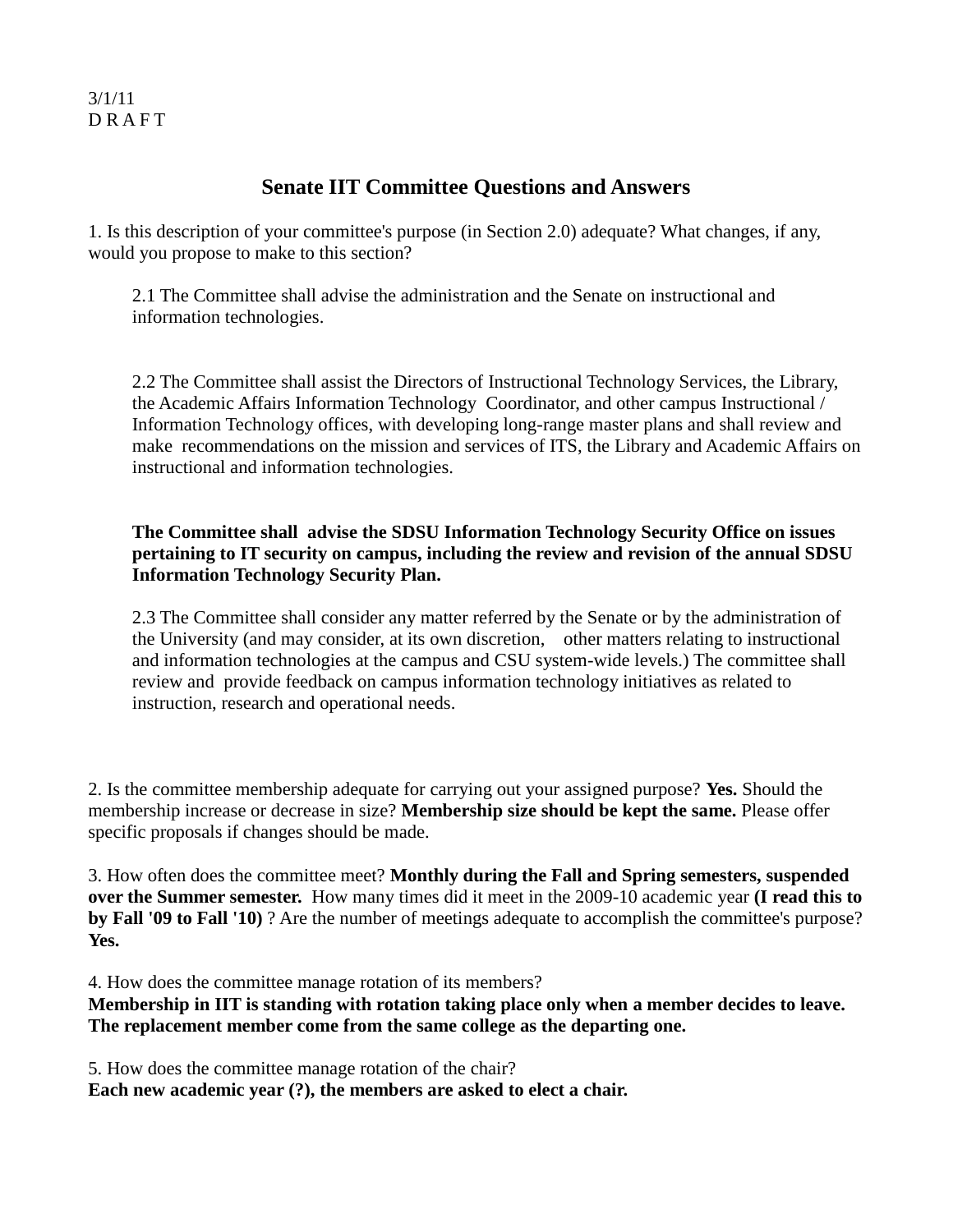## 3/1/11 D R A F T

## **Senate IIT Committee Questions and Answers**

1. Is this description of your committee's purpose (in Section 2.0) adequate? What changes, if any, would you propose to make to this section?

2.1 The Committee shall advise the administration and the Senate on instructional and information technologies.

2.2 The Committee shall assist the Directors of Instructional Technology Services, the Library, the Academic Affairs Information Technology Coordinator, and other campus Instructional / Information Technology offices, with developing long-range master plans and shall review and make recommendations on the mission and services of ITS, the Library and Academic Affairs on instructional and information technologies.

## **The Committee shall advise the SDSU Information Technology Security Office on issues pertaining to IT security on campus, including the review and revision of the annual SDSU Information Technology Security Plan.**

2.3 The Committee shall consider any matter referred by the Senate or by the administration of the University (and may consider, at its own discretion, other matters relating to instructional and information technologies at the campus and CSU system-wide levels.) The committee shall review and provide feedback on campus information technology initiatives as related to instruction, research and operational needs.

2. Is the committee membership adequate for carrying out your assigned purpose? **Yes.** Should the membership increase or decrease in size? **Membership size should be kept the same.** Please offer specific proposals if changes should be made.

3. How often does the committee meet? **Monthly during the Fall and Spring semesters, suspended over the Summer semester.** How many times did it meet in the 2009-10 academic year **(I read this to by Fall '09 to Fall '10)** ? Are the number of meetings adequate to accomplish the committee's purpose? **Yes.**

4. How does the committee manage rotation of its members?

**Membership in IIT is standing with rotation taking place only when a member decides to leave. The replacement member come from the same college as the departing one.**

5. How does the committee manage rotation of the chair?

**Each new academic year (?), the members are asked to elect a chair.**